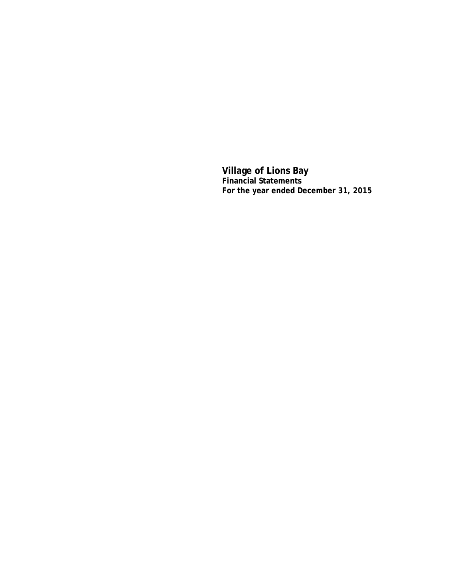**Village of Lions Bay Financial Statements For the year ended December 31, 2015**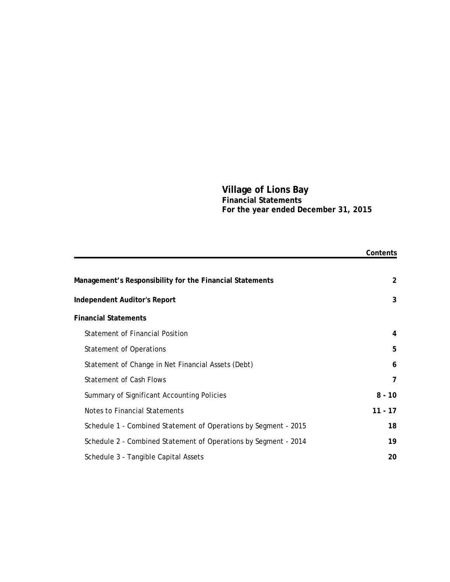## **Village of Lions Bay Financial Statements For the year ended December 31, 2015**

|                                                                 | Contents |
|-----------------------------------------------------------------|----------|
|                                                                 |          |
| Management's Responsibility for the Financial Statements        | 2        |
| Independent Auditor's Report                                    | 3        |
| <b>Financial Statements</b>                                     |          |
| Statement of Financial Position                                 | 4        |
| <b>Statement of Operations</b>                                  | 5        |
| Statement of Change in Net Financial Assets (Debt)              | 6        |
| <b>Statement of Cash Flows</b>                                  | 7        |
| Summary of Significant Accounting Policies                      | $8 - 10$ |
| Notes to Financial Statements                                   | 11 - 17  |
| Schedule 1 - Combined Statement of Operations by Segment - 2015 | 18       |
| Schedule 2 - Combined Statement of Operations by Segment - 2014 | 19       |
| Schedule 3 - Tangible Capital Assets                            | 20       |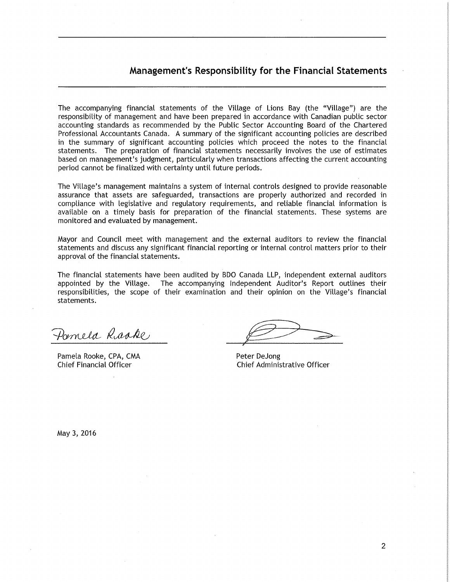## Management's Responsibility for the Financial Statements

The accompanying financial statements of the Village of Lions Bay (the "Village") are the responsibility of management and have been prepared in accordance with Canadian public sector accounting standards as recommended by the Public Sector Accounting Board of the Chartered Professional Accountants Canada. A summary of the significant accounting policies are described in the summary of significant accounting policies which proceed the notes to the financial statements. The preparation of financial statements necessarily involves the use of estimates based on management's judgment, particularly when transactions affecting the current accounting period cannot be finalized with certainty until future periods.

The Village's management maintains a system of internal controls designed to provide reasonable assurance that assets are safeguarded, transactions are properly authorized and recorded in compliance with legislative and regulatory requirements, and reliable financial information is available on a timely basis for preparation of the financial statements. These systems are monitored and evaluated by management.

Mayor and Council meet with management and the external auditors to review the financial statements and discuss any significant financial reporting or internal control matters prior to their approval of the financial statements.

The financial statements have been audited by BDO Canada LLP, independent external auditors appointed by the Village. The accompanying Independent Auditor's Report outlines their responsibilities, the scope of their examination and their opinion on the Village's financial statements.

Pamela Racke,

Pamela Rooke, CPA, CMA **Chief Financial Officer** 

Peter DeJong Chief Administrative Officer

May 3, 2016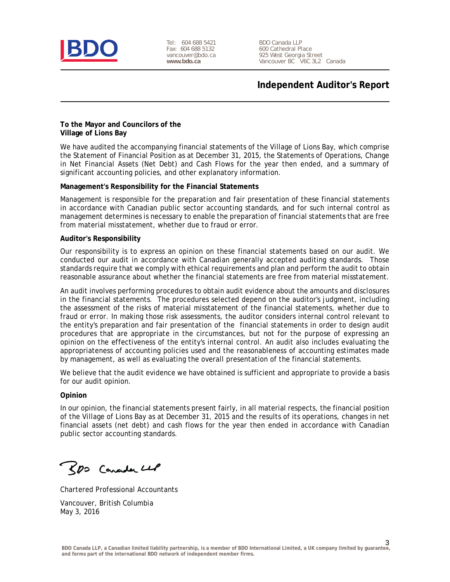

Tel: 604 688 5421 Fax: 604 688 5132 vancouver@bdo.ca **www.bdo.ca**

BDO Canada LLP 600 Cathedral Place 925 West Georgia Street Vancouver BC V6C 3L2 Canada

# **Independent Auditor's Report**

#### **To the Mayor and Councilors of the Village of Lions Bay**

We have audited the accompanying financial statements of the Village of Lions Bay, which comprise the Statement of Financial Position as at December 31, 2015, the Statements of Operations, Change in Net Financial Assets (Net Debt) and Cash Flows for the year then ended, and a summary of significant accounting policies, and other explanatory information.

#### **Management's Responsibility for the Financial Statements**

Management is responsible for the preparation and fair presentation of these financial statements in accordance with Canadian public sector accounting standards, and for such internal control as management determines is necessary to enable the preparation of financial statements that are free from material misstatement, whether due to fraud or error.

#### **Auditor's Responsibility**

Our responsibility is to express an opinion on these financial statements based on our audit. We conducted our audit in accordance with Canadian generally accepted auditing standards. Those standards require that we comply with ethical requirements and plan and perform the audit to obtain reasonable assurance about whether the financial statements are free from material misstatement.

An audit involves performing procedures to obtain audit evidence about the amounts and disclosures in the financial statements. The procedures selected depend on the auditor's judgment, including the assessment of the risks of material misstatement of the financial statements, whether due to fraud or error. In making those risk assessments, the auditor considers internal control relevant to the entity's preparation and fair presentation of the financial statements in order to design audit procedures that are appropriate in the circumstances, but not for the purpose of expressing an opinion on the effectiveness of the entity's internal control. An audit also includes evaluating the appropriateness of accounting policies used and the reasonableness of accounting estimates made by management, as well as evaluating the overall presentation of the financial statements.

We believe that the audit evidence we have obtained is sufficient and appropriate to provide a basis for our audit opinion.

#### **Opinion**

In our opinion, the financial statements present fairly, in all material respects, the financial position of the Village of Lions Bay as at December 31, 2015 and the results of its operations, changes in net financial assets (net debt) and cash flows for the year then ended in accordance with Canadian public sector accounting standards.

500 Canada LLP

Chartered Professional Accountants

Vancouver, British Columbia May 3, 2016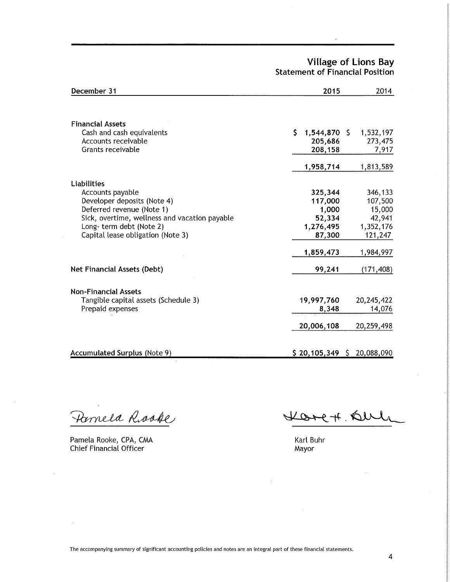Village of Lions Bay<br>Statement of Financial Position

| December 31                                   | 2015               | 2014       |
|-----------------------------------------------|--------------------|------------|
| <b>Financial Assets</b>                       |                    |            |
| Cash and cash equivalents                     | \$<br>1,544,870 \$ | 1,532,197  |
| Accounts receivable                           | 205,686            | 273,475    |
| Grants receivable                             | 208,158            | 7,917      |
|                                               | 1,958,714          | 1,813,589  |
|                                               |                    |            |
| <b>Liabilities</b><br>Accounts payable        | 325,344            | 346,133    |
| Developer deposits (Note 4)                   | 117,000            | 107,500    |
| Deferred revenue (Note 1)                     | 1,000              | 15,000     |
| Sick, overtime, wellness and vacation payable | 52,334             | 42,941     |
| Long-term debt (Note 2)                       | 1,276,495          | 1,352,176  |
| Capital lease obligation (Note 3)             | 87,300             | 121,247    |
|                                               | 1,859,473          | 1,984,997  |
| Net Financial Assets (Debt)                   | 99,241             | (171, 408) |
|                                               |                    |            |
| <b>Non-Financial Assets</b>                   |                    |            |
| Tangible capital assets (Schedule 3)          | 19,997,760         | 20,245,422 |
| Prepaid expenses                              | 8,348              | 14,076     |
|                                               | 20,006,108         | 20,259,498 |
|                                               |                    |            |
| <b>Accumulated Surplus (Note 9)</b>           | $$20,105,349$ \$   | 20,088,090 |

Parrela Rooke

Pamela Rooke, CPA, CMA Chief Financial Officer

Korett Bul

Karl Buhr Mayor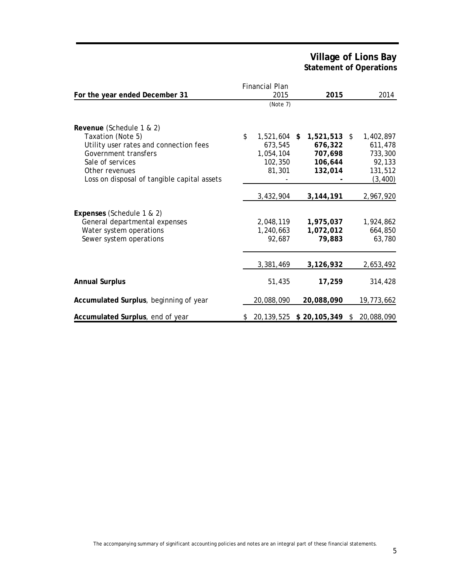# **Village of Lions Bay Statement of Operations**

|                                             |    | <b>Financial Plan</b> |                          |    |            |
|---------------------------------------------|----|-----------------------|--------------------------|----|------------|
| For the year ended December 31              |    | 2015                  | 2015                     |    | 2014       |
|                                             |    | (Note 7)              |                          |    |            |
| Revenue (Schedule 1 & 2)                    |    |                       |                          |    |            |
| Taxation (Note 5)                           | \$ | 1,521,604 \$          | $1,521,513$ \$           |    | 1,402,897  |
| Utility user rates and connection fees      |    | 673,545               | 676,322                  |    | 611,478    |
| Government transfers                        |    | 1,054,104             | 707,698                  |    | 733,300    |
| Sale of services                            |    | 102,350               | 106,644                  |    | 92,133     |
| Other revenues                              |    | 81,301                | 132,014                  |    | 131,512    |
| Loss on disposal of tangible capital assets |    |                       |                          |    | (3, 400)   |
|                                             |    | 3,432,904             | 3, 144, 191              |    | 2,967,920  |
| Expenses (Schedule 1 & 2)                   |    |                       |                          |    |            |
| General departmental expenses               |    | 2,048,119             | 1,975,037                |    | 1,924,862  |
| Water system operations                     |    | 1,240,663             | 1,072,012                |    | 664,850    |
| Sewer system operations                     |    | 92,687                | 79,883                   |    | 63,780     |
|                                             |    |                       |                          |    |            |
|                                             |    | 3,381,469             | 3,126,932                |    | 2,653,492  |
| <b>Annual Surplus</b>                       |    | 51,435                | 17,259                   |    | 314,428    |
| Accumulated Surplus, beginning of year      |    | 20,088,090            | 20,088,090               |    | 19,773,662 |
| Accumulated Surplus, end of year            | S  |                       | 20,139,525 \$ 20,105,349 | S. | 20,088,090 |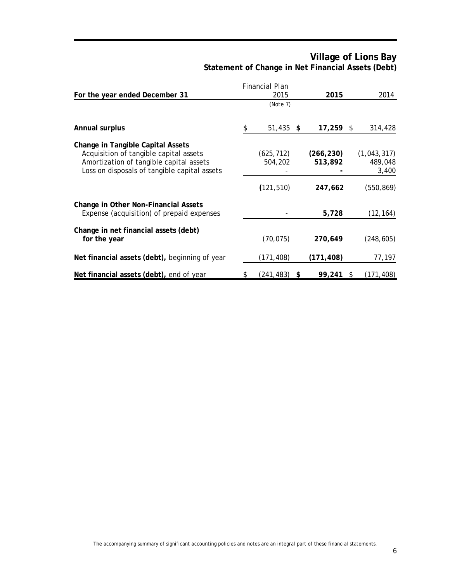# **Village of Lions Bay Statement of Change in Net Financial Assets (Debt)**

|                                                                                                                                                                        |    | <b>Financial Plan</b> |                       |                                 |
|------------------------------------------------------------------------------------------------------------------------------------------------------------------------|----|-----------------------|-----------------------|---------------------------------|
| For the year ended December 31                                                                                                                                         |    | 2015                  | 2015                  | 2014                            |
|                                                                                                                                                                        |    | (Note 7)              |                       |                                 |
| Annual surplus                                                                                                                                                         | \$ | $51,435$ \$           | $17,259$ \$           | 314,428                         |
| Change in Tangible Capital Assets<br>Acquisition of tangible capital assets<br>Amortization of tangible capital assets<br>Loss on disposals of tangible capital assets |    | (625, 712)<br>504,202 | (266, 230)<br>513,892 | (1,043,317)<br>489,048<br>3,400 |
|                                                                                                                                                                        |    | (121, 510)            | 247,662               | (550, 869)                      |
| Change in Other Non-Financial Assets<br>Expense (acquisition) of prepaid expenses                                                                                      |    |                       | 5,728                 | (12, 164)                       |
| Change in net financial assets (debt)<br>for the year                                                                                                                  |    | (70, 075)             | 270,649               | (248, 605)                      |
| Net financial assets (debt), beginning of year                                                                                                                         |    | (171, 408)            | (171, 408)            | 77,197                          |
| Net financial assets (debt), end of year                                                                                                                               | S  | (241, 483)            | \$<br>99,241          | \$<br>(171,408)                 |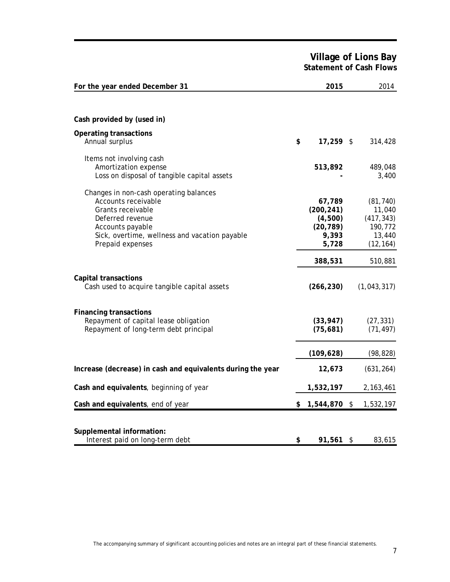**Village of Lions Bay Statement of Cash Flows** 

| For the year ended December 31                                                                                                                                                                  |    | 2015                                                           | 2014                                                                |
|-------------------------------------------------------------------------------------------------------------------------------------------------------------------------------------------------|----|----------------------------------------------------------------|---------------------------------------------------------------------|
|                                                                                                                                                                                                 |    |                                                                |                                                                     |
| Cash provided by (used in)                                                                                                                                                                      |    |                                                                |                                                                     |
| <b>Operating transactions</b><br>Annual surplus                                                                                                                                                 | \$ | $17,259$ \$                                                    | 314,428                                                             |
| Items not involving cash<br>Amortization expense<br>Loss on disposal of tangible capital assets                                                                                                 |    | 513,892                                                        | 489,048<br>3,400                                                    |
| Changes in non-cash operating balances<br>Accounts receivable<br>Grants receivable<br>Deferred revenue<br>Accounts payable<br>Sick, overtime, wellness and vacation payable<br>Prepaid expenses |    | 67,789<br>(200, 241)<br>(4,500)<br>(20, 789)<br>9,393<br>5,728 | (81, 740)<br>11,040<br>(417, 343)<br>190,772<br>13,440<br>(12, 164) |
|                                                                                                                                                                                                 |    | 388,531                                                        | 510,881                                                             |
| <b>Capital transactions</b><br>Cash used to acquire tangible capital assets                                                                                                                     |    | (266, 230)                                                     | (1,043,317)                                                         |
| <b>Financing transactions</b><br>Repayment of capital lease obligation<br>Repayment of long-term debt principal                                                                                 |    | (33, 947)<br>(75, 681)                                         | (27, 331)<br>(71, 497)                                              |
|                                                                                                                                                                                                 |    | (109, 628)                                                     | (98, 828)                                                           |
| Increase (decrease) in cash and equivalents during the year                                                                                                                                     |    | 12,673                                                         | (631, 264)                                                          |
| Cash and equivalents, beginning of year                                                                                                                                                         |    | 1,532,197                                                      | 2, 163, 461                                                         |
| Cash and equivalents, end of year                                                                                                                                                               | S. | 1,544,870 \$                                                   | 1,532,197                                                           |
| Supplemental information:<br>Interest paid on long-term debt                                                                                                                                    | \$ | 91,561                                                         | \$<br>83,615                                                        |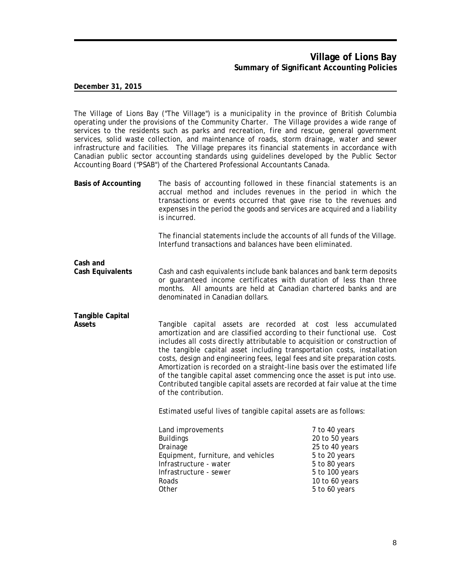The Village of Lions Bay ("The Village") is a municipality in the province of British Columbia operating under the provisions of the Community Charter. The Village provides a wide range of services to the residents such as parks and recreation, fire and rescue, general government services, solid waste collection, and maintenance of roads, storm drainage, water and sewer infrastructure and facilities. The Village prepares its financial statements in accordance with Canadian public sector accounting standards using guidelines developed by the Public Sector Accounting Board ("PSAB") of the Chartered Professional Accountants Canada.

**Basis of Accounting** The basis of accounting followed in these financial statements is an accrual method and includes revenues in the period in which the transactions or events occurred that gave rise to the revenues and expenses in the period the goods and services are acquired and a liability is incurred.

> The financial statements include the accounts of all funds of the Village. Interfund transactions and balances have been eliminated.

# **Cash and**

**Cash Equivalents** Cash and cash equivalents include bank balances and bank term deposits or guaranteed income certificates with duration of less than three months. All amounts are held at Canadian chartered banks and are denominated in Canadian dollars.

# **Tangible Capital**

**Assets** Tangible capital assets are recorded at cost less accumulated amortization and are classified according to their functional use. Cost includes all costs directly attributable to acquisition or construction of the tangible capital asset including transportation costs, installation costs, design and engineering fees, legal fees and site preparation costs. Amortization is recorded on a straight-line basis over the estimated life of the tangible capital asset commencing once the asset is put into use. Contributed tangible capital assets are recorded at fair value at the time of the contribution.

Estimated useful lives of tangible capital assets are as follows:

| Land improvements                  | 7 to 40 years  |
|------------------------------------|----------------|
| <b>Buildings</b>                   | 20 to 50 years |
| Drainage                           | 25 to 40 years |
| Equipment, furniture, and vehicles | 5 to 20 years  |
| Infrastructure - water             | 5 to 80 years  |
| Infrastructure - sewer             | 5 to 100 years |
| Roads                              | 10 to 60 years |
| Other                              | 5 to 60 years  |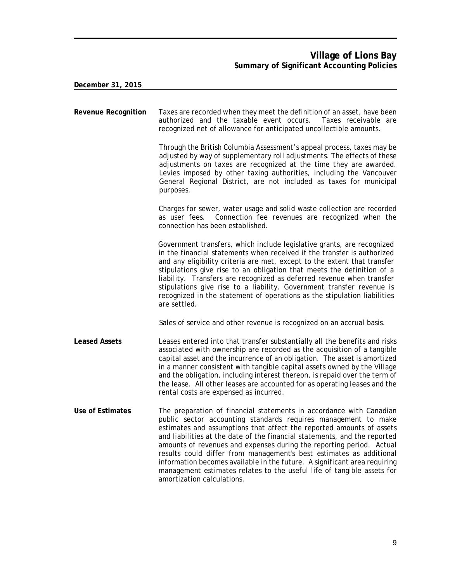| <b>Revenue Recognition</b> | Taxes are recorded when they meet the definition of an asset, have been<br>authorized and the taxable event occurs.<br>Taxes receivable are<br>recognized net of allowance for anticipated uncollectible amounts.                                                                                                                                                                                                                                                                                                                                                                                                              |
|----------------------------|--------------------------------------------------------------------------------------------------------------------------------------------------------------------------------------------------------------------------------------------------------------------------------------------------------------------------------------------------------------------------------------------------------------------------------------------------------------------------------------------------------------------------------------------------------------------------------------------------------------------------------|
|                            | Through the British Columbia Assessment's appeal process, taxes may be<br>adjusted by way of supplementary roll adjustments. The effects of these<br>adjustments on taxes are recognized at the time they are awarded.<br>Levies imposed by other taxing authorities, including the Vancouver<br>General Regional District, are not included as taxes for municipal<br>purposes.                                                                                                                                                                                                                                               |
|                            | Charges for sewer, water usage and solid waste collection are recorded<br>Connection fee revenues are recognized when the<br>as user fees.<br>connection has been established.                                                                                                                                                                                                                                                                                                                                                                                                                                                 |
|                            | Government transfers, which include legislative grants, are recognized<br>in the financial statements when received if the transfer is authorized<br>and any eligibility criteria are met, except to the extent that transfer<br>stipulations give rise to an obligation that meets the definition of a<br>liability. Transfers are recognized as deferred revenue when transfer<br>stipulations give rise to a liability. Government transfer revenue is<br>recognized in the statement of operations as the stipulation liabilities<br>are settled.                                                                          |
|                            | Sales of service and other revenue is recognized on an accrual basis.                                                                                                                                                                                                                                                                                                                                                                                                                                                                                                                                                          |
| <b>Leased Assets</b>       | Leases entered into that transfer substantially all the benefits and risks<br>associated with ownership are recorded as the acquisition of a tangible<br>capital asset and the incurrence of an obligation. The asset is amortized<br>in a manner consistent with tangible capital assets owned by the Village<br>and the obligation, including interest thereon, is repaid over the term of<br>the lease. All other leases are accounted for as operating leases and the<br>rental costs are expensed as incurred.                                                                                                            |
| <b>Use of Estimates</b>    | The preparation of financial statements in accordance with Canadian<br>public sector accounting standards requires management to make<br>estimates and assumptions that affect the reported amounts of assets<br>and liabilities at the date of the financial statements, and the reported<br>amounts of revenues and expenses during the reporting period. Actual<br>results could differ from management's best estimates as additional<br>information becomes available in the future. A significant area requiring<br>management estimates relates to the useful life of tangible assets for<br>amortization calculations. |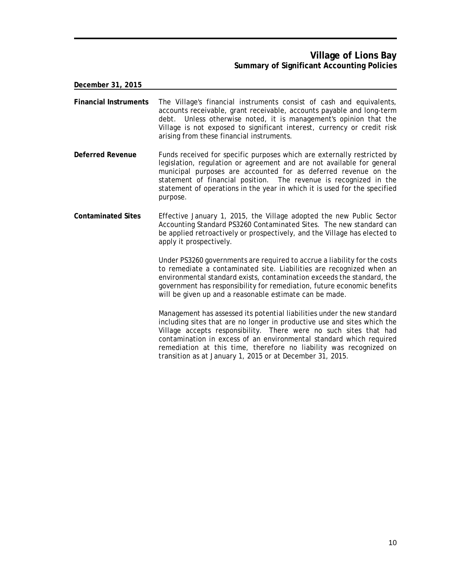## **Village of Lions Bay Summary of Significant Accounting Policies**

**December 31, 2015** 

- **Financial Instruments** The Village's financial instruments consist of cash and equivalents, accounts receivable, grant receivable, accounts payable and long-term debt. Unless otherwise noted, it is management's opinion that the Village is not exposed to significant interest, currency or credit risk arising from these financial instruments.
- **Deferred Revenue** Funds received for specific purposes which are externally restricted by legislation, regulation or agreement and are not available for general municipal purposes are accounted for as deferred revenue on the statement of financial position. The revenue is recognized in the statement of operations in the year in which it is used for the specified purpose.
- **Contaminated Sites** Effective January 1, 2015, the Village adopted the new Public Sector Accounting Standard PS3260 Contaminated Sites. The new standard can be applied retroactively or prospectively, and the Village has elected to apply it prospectively.

Under PS3260 governments are required to accrue a liability for the costs to remediate a contaminated site. Liabilities are recognized when an environmental standard exists, contamination exceeds the standard, the government has responsibility for remediation, future economic benefits will be given up and a reasonable estimate can be made.

Management has assessed its potential liabilities under the new standard including sites that are no longer in productive use and sites which the Village accepts responsibility. There were no such sites that had contamination in excess of an environmental standard which required remediation at this time, therefore no liability was recognized on transition as at January 1, 2015 or at December 31, 2015.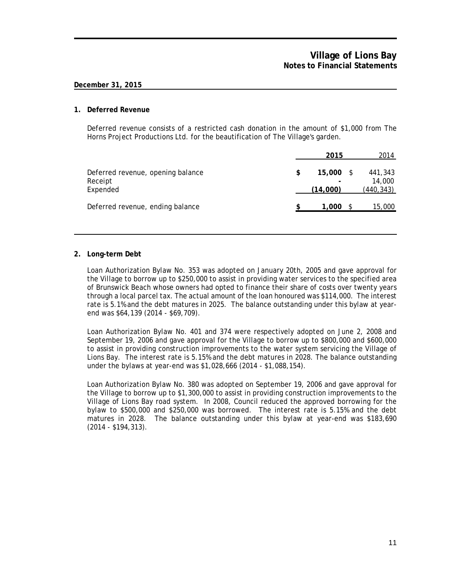#### **1. Deferred Revenue**

Deferred revenue consists of a restricted cash donation in the amount of \$1,000 from The Horns Project Productions Ltd. for the beautification of The Village's garden.

|                                                          | 2015 |                         | 2014                            |  |
|----------------------------------------------------------|------|-------------------------|---------------------------------|--|
| Deferred revenue, opening balance<br>Receipt<br>Expended |      | $15,000$ \$<br>(14,000) | 441,343<br>14,000<br>(440, 343) |  |
| Deferred revenue, ending balance                         |      | 1,000                   | 15,000                          |  |

#### **2. Long-term Debt**

Loan Authorization Bylaw No. 353 was adopted on January 20th, 2005 and gave approval for the Village to borrow up to \$250,000 to assist in providing water services to the specified area of Brunswick Beach whose owners had opted to finance their share of costs over twenty years through a local parcel tax. The actual amount of the loan honoured was \$114,000. The interest rate is 5.1% and the debt matures in 2025. The balance outstanding under this bylaw at yearend was \$64,139 (2014 - \$69,709).

Loan Authorization Bylaw No. 401 and 374 were respectively adopted on June 2, 2008 and September 19, 2006 and gave approval for the Village to borrow up to \$800,000 and \$600,000 to assist in providing construction improvements to the water system servicing the Village of Lions Bay. The interest rate is 5.15% and the debt matures in 2028. The balance outstanding under the bylaws at year-end was \$1,028,666 (2014 - \$1,088,154).

Loan Authorization Bylaw No. 380 was adopted on September 19, 2006 and gave approval for the Village to borrow up to \$1,300,000 to assist in providing construction improvements to the Village of Lions Bay road system. In 2008, Council reduced the approved borrowing for the bylaw to \$500,000 and \$250,000 was borrowed. The interest rate is 5.15% and the debt matures in 2028. The balance outstanding under this bylaw at year-end was \$183,690 (2014 - \$194,313).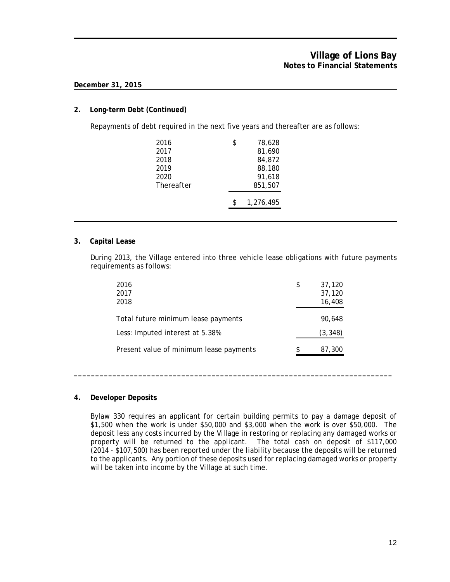#### **2. Long-term Debt (Continued)**

Repayments of debt required in the next five years and thereafter are as follows:

| 2016       | \$<br>78,628 |
|------------|--------------|
| 2017       | 81,690       |
| 2018       | 84,872       |
| 2019       | 88,180       |
| 2020       | 91,618       |
| Thereafter | 851,507      |
|            | 1,276,495    |
|            |              |

#### **3. Capital Lease**

During 2013, the Village entered into three vehicle lease obligations with future payments requirements as follows:

| 2016<br>2017<br>2018                    | \$<br>37,120<br>37,120<br>16,408 |
|-----------------------------------------|----------------------------------|
| Total future minimum lease payments     | 90.648                           |
| Less: Imputed interest at 5.38%         | (3, 348)                         |
| Present value of minimum lease payments | 87,300                           |

**\_\_\_\_\_\_\_\_\_\_\_\_\_\_\_\_\_\_\_\_\_\_\_\_\_\_\_\_\_\_\_\_\_\_\_\_\_\_\_\_\_\_\_\_\_\_\_\_\_\_\_\_\_\_\_\_\_\_\_\_\_\_\_\_\_\_\_\_\_\_\_\_\_\_** 

#### **4. Developer Deposits**

Bylaw 330 requires an applicant for certain building permits to pay a damage deposit of \$1,500 when the work is under \$50,000 and \$3,000 when the work is over \$50,000. The deposit less any costs incurred by the Village in restoring or replacing any damaged works or property will be returned to the applicant. The total cash on deposit of \$117,000 (2014 - \$107,500) has been reported under the liability because the deposits will be returned to the applicants. Any portion of these deposits used for replacing damaged works or property will be taken into income by the Village at such time.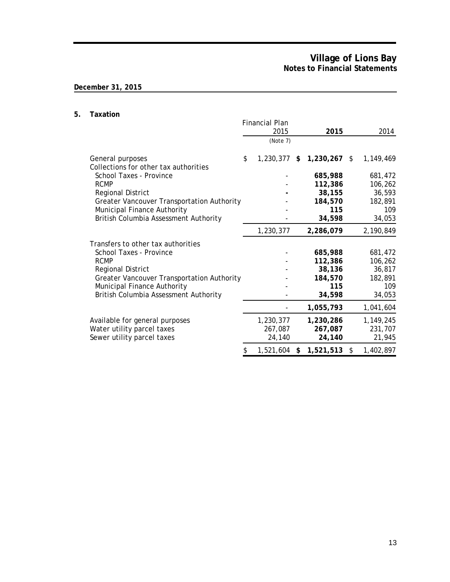## **5. Taxation**

|                                                           | <b>Financial Plan</b><br>2015 | 2015            | 2014            |
|-----------------------------------------------------------|-------------------------------|-----------------|-----------------|
|                                                           | (Note 7)                      |                 |                 |
| General purposes<br>Collections for other tax authorities | \$<br>$1,230,377$ \$          | $1,230,267$ \$  | 1,149,469       |
| School Taxes - Province                                   |                               | 685,988         | 681,472         |
| <b>RCMP</b>                                               |                               | 112,386         | 106,262         |
| <b>Regional District</b>                                  |                               | 38,155          | 36,593          |
| Greater Vancouver Transportation Authority                |                               | 184,570         | 182,891         |
| Municipal Finance Authority                               |                               | 115             | 109             |
| British Columbia Assessment Authority                     |                               | 34,598          | 34,053          |
|                                                           | 1,230,377                     | 2,286,079       | 2,190,849       |
| Transfers to other tax authorities                        |                               |                 |                 |
| School Taxes - Province                                   |                               | 685,988         | 681,472         |
| <b>RCMP</b>                                               |                               | 112,386         | 106,262         |
| <b>Regional District</b>                                  |                               | 38,136          | 36,817          |
| Greater Vancouver Transportation Authority                |                               | 184,570         | 182,891         |
| Municipal Finance Authority                               |                               | 115             | 109             |
| British Columbia Assessment Authority                     |                               | 34,598          | 34,053          |
|                                                           |                               | 1,055,793       | 1,041,604       |
| Available for general purposes                            | 1,230,377                     | 1,230,286       | 1,149,245       |
| Water utility parcel taxes                                | 267,087                       | 267,087         | 231,707         |
| Sewer utility parcel taxes                                | 24,140                        | 24,140          | 21,945          |
|                                                           | \$<br>1,521,604               | \$<br>1,521,513 | \$<br>1,402,897 |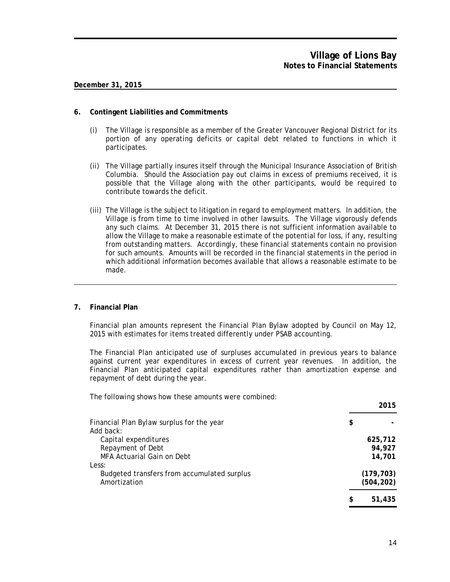#### **6. Contingent Liabilities and Commitments**

- (i) The Village is responsible as a member of the Greater Vancouver Regional District for its portion of any operating deficits or capital debt related to functions in which it participates.
- (ii) The Village partially insures itself through the Municipal Insurance Association of British Columbia. Should the Association pay out claims in excess of premiums received, it is possible that the Village along with the other participants, would be required to contribute towards the deficit.
- (iii) The Village is the subject to litigation in regard to employment matters. In addition, the Village is from time to time involved in other lawsuits. The Village vigorously defends any such claims. At December 31, 2015 there is not sufficient information available to allow the Village to make a reasonable estimate of the potential for loss, if any, resulting from outstanding matters. Accordingly, these financial statements contain no provision for such amounts. Amounts will be recorded in the financial statements in the period in which additional information becomes available that allows a reasonable estimate to be made.

#### **7. Financial Plan**

Financial plan amounts represent the Financial Plan Bylaw adopted by Council on May 12, 2015 with estimates for items treated differently under PSAB accounting.

The Financial Plan anticipated use of surpluses accumulated in previous years to balance against current year expenditures in excess of current year revenues. In addition, the Financial Plan anticipated capital expenditures rather than amortization expense and repayment of debt during the year.

The following shows how these amounts were combined:

| Financial Plan Bylaw surplus for the year   | \$           |
|---------------------------------------------|--------------|
| Add back:                                   |              |
| Capital expenditures                        | 625,712      |
| Repayment of Debt                           | 94,927       |
| MFA Actuarial Gain on Debt                  | 14,701       |
| Less:                                       |              |
| Budgeted transfers from accumulated surplus | (179, 703)   |
| Amortization                                | (504, 202)   |
|                                             | \$<br>51,435 |
|                                             |              |

**2015**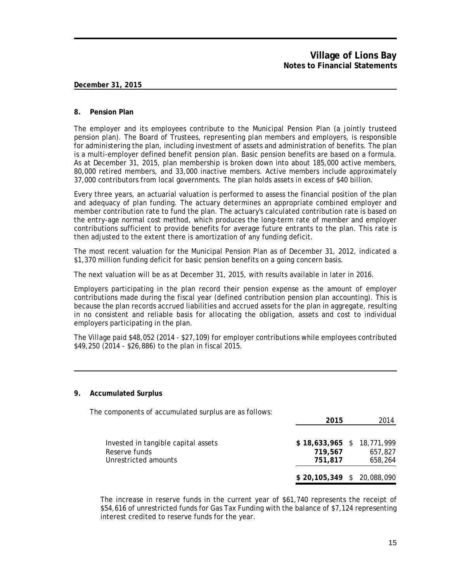#### **8. Pension Plan**

The employer and its employees contribute to the Municipal Pension Plan (a jointly trusteed pension plan). The Board of Trustees, representing plan members and employers, is responsible for administering the plan, including investment of assets and administration of benefits. The plan is a multi-employer defined benefit pension plan. Basic pension benefits are based on a formula. As at December 31, 2015, plan membership is broken down into about 185,000 active members, 80,000 retired members, and 33,000 inactive members. Active members include approximately 37,000 contributors from local governments. The plan holds assets in excess of \$40 billion.

Every three years, an actuarial valuation is performed to assess the financial position of the plan and adequacy of plan funding. The actuary determines an appropriate combined employer and member contribution rate to fund the plan. The actuary's calculated contribution rate is based on the entry-age normal cost method, which produces the long-term rate of member and employer contributions sufficient to provide benefits for average future entrants to the plan. This rate is then adjusted to the extent there is amortization of any funding deficit.

The most recent valuation for the Municipal Pension Plan as of December 31, 2012, indicated a \$1,370 million funding deficit for basic pension benefits on a going concern basis.

The next valuation will be as at December 31, 2015, with results available in later in 2016.

Employers participating in the plan record their pension expense as the amount of employer contributions made during the fiscal year (defined contribution pension plan accounting). This is because the plan records accrued liabilities and accrued assets for the plan in aggregate, resulting in no consistent and reliable basis for allocating the obligation, assets and cost to individual employers participating in the plan.

The Village paid \$48,052 (2014 - \$27,109) for employer contributions while employees contributed \$49,250 (2014 - \$26,886) to the plan in fiscal 2015.

#### **9. Accumulated Surplus**

The components of accumulated surplus are as follows:

|                                                                              | 2015                                              | 2014               |
|------------------------------------------------------------------------------|---------------------------------------------------|--------------------|
| Invested in tangible capital assets<br>Reserve funds<br>Unrestricted amounts | $$18,633,965$ $$18,771,999$<br>719,567<br>751,817 | 657.827<br>658,264 |
|                                                                              | $$20,105,349$ $$20,088,090$                       |                    |

The increase in reserve funds in the current year of \$61,740 represents the receipt of \$54,616 of unrestricted funds for Gas Tax Funding with the balance of \$7,124 representing interest credited to reserve funds for the year.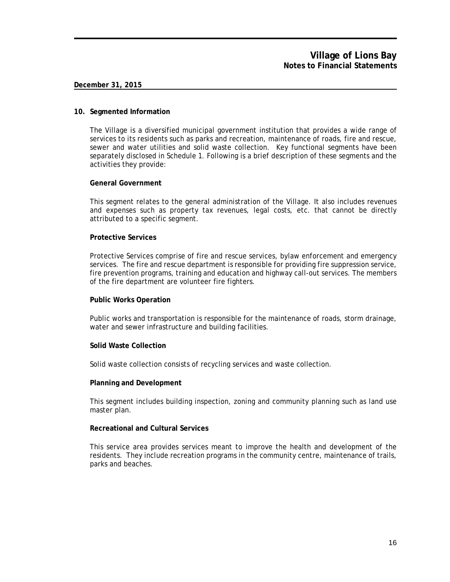#### **10. Segmented Information**

The Village is a diversified municipal government institution that provides a wide range of services to its residents such as parks and recreation, maintenance of roads, fire and rescue, sewer and water utilities and solid waste collection. Key functional segments have been separately disclosed in Schedule 1. Following is a brief description of these segments and the activities they provide:

#### **General Government**

This segment relates to the general administration of the Village. It also includes revenues and expenses such as property tax revenues, legal costs, etc. that cannot be directly attributed to a specific segment.

#### **Protective Services**

Protective Services comprise of fire and rescue services, bylaw enforcement and emergency services. The fire and rescue department is responsible for providing fire suppression service, fire prevention programs, training and education and highway call-out services. The members of the fire department are volunteer fire fighters.

#### **Public Works Operation**

Public works and transportation is responsible for the maintenance of roads, storm drainage, water and sewer infrastructure and building facilities.

#### **Solid Waste Collection**

Solid waste collection consists of recycling services and waste collection.

#### **Planning and Development**

This segment includes building inspection, zoning and community planning such as land use master plan.

#### **Recreational and Cultural Services**

This service area provides services meant to improve the health and development of the residents. They include recreation programs in the community centre, maintenance of trails, parks and beaches.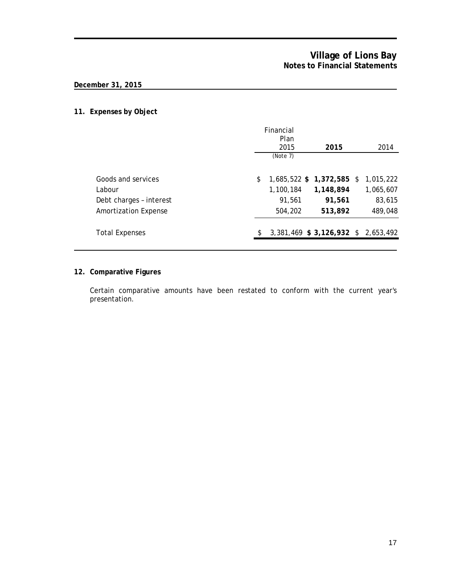# **11. Expenses by Object**

|                                                                                 | Financial<br>Plan<br>2015<br>2015<br>(Note 7) |                                |                                                             |  |                                             |  |  |
|---------------------------------------------------------------------------------|-----------------------------------------------|--------------------------------|-------------------------------------------------------------|--|---------------------------------------------|--|--|
| Goods and services<br>Labour<br>Debt charges - interest<br>Amortization Expense | \$                                            | 1,100,184<br>91.561<br>504,202 | 1,685,522 \$ 1,372,585 \$<br>1,148,894<br>91,561<br>513,892 |  | 1,015,222<br>1,065,607<br>83,615<br>489,048 |  |  |
| <b>Total Expenses</b>                                                           | S.                                            |                                | 3,381,469 \$3,126,932 \$2,653,492                           |  |                                             |  |  |

## **12. Comparative Figures**

Certain comparative amounts have been restated to conform with the current year's presentation.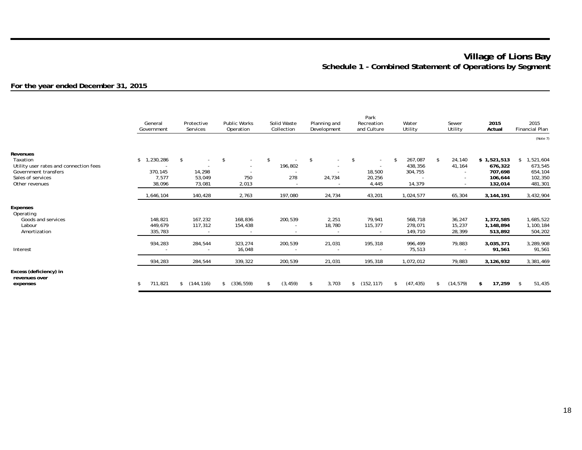## **Village of Lions Bay Schedule 1 - Combined Statement of Operations by Segment**

## **For the year ended December 31, 2015**

|                                                                                     | General<br>Government                        | Protective<br>Services                         | Public Works<br>Operation                 | Solid Waste<br>Collection                                       | Planning and<br>Development                                    | Park<br>Recreation<br>and Culture         | Water<br>Utility              | Sewer<br>Utility           | 2015<br>Actual                    | 2015<br>Financial Plan            |
|-------------------------------------------------------------------------------------|----------------------------------------------|------------------------------------------------|-------------------------------------------|-----------------------------------------------------------------|----------------------------------------------------------------|-------------------------------------------|-------------------------------|----------------------------|-----------------------------------|-----------------------------------|
|                                                                                     |                                              |                                                |                                           |                                                                 |                                                                |                                           |                               |                            |                                   | (Note 7)                          |
| Revenues<br>Taxation                                                                | \$1,230,286                                  | -\$<br>$\sim$                                  | \$<br>$\sim$                              | $\mathbf{\hat{S}}$                                              | \$<br>$\sim$                                                   | <sup>\$</sup><br>$\overline{\phantom{a}}$ | 267,087<br><sup>\$</sup>      | 24,140<br>\$               | \$1,521,513                       | ,521,604                          |
| Utility user rates and connection fees<br>Government transfers<br>Sales of services | $\overline{\phantom{a}}$<br>370,145<br>7,577 | $\overline{a}$<br>14,298<br>53,049             | $\sim$<br>$\overline{\phantom{a}}$<br>750 | 196,802<br>278                                                  | $\overline{\phantom{a}}$<br>$\overline{\phantom{a}}$<br>24,734 | $\sim$<br>18,500<br>20,256                | 438,356<br>304,755            | 41,164                     | 676,322<br>707,698<br>106,644     | 673,545<br>654,104<br>102,350     |
| Other revenues                                                                      | 38,096<br>1,646,104                          | 73,081<br>140,428                              | 2,013<br>2,763                            | 197,080                                                         | 24,734                                                         | 4,445<br>43,201                           | 14,379<br>1,024,577           | 65,304                     | 132,014<br>3,144,191              | 481,301<br>3,432,904              |
| Expenses<br>Operating                                                               |                                              |                                                |                                           |                                                                 |                                                                |                                           |                               |                            |                                   |                                   |
| Goods and services<br>Labour<br>Amortization                                        | 148,821<br>449,679<br>335,783                | 167,232<br>117,312<br>$\overline{\phantom{a}}$ | 168,836<br>154,438                        | 200,539<br>$\overline{\phantom{a}}$<br>$\overline{\phantom{a}}$ | 2,251<br>18,780<br>$\overline{\phantom{a}}$                    | 79,941<br>115,377                         | 568,718<br>278,071<br>149,710 | 36,247<br>15,237<br>28,399 | 1,372,585<br>1,148,894<br>513,892 | 1,685,522<br>1,100,184<br>504,202 |
| Interest                                                                            | 934,283                                      | 284,544<br>$\overline{\phantom{a}}$            | 323,274<br>16,048                         | 200,539<br>$\overline{\phantom{a}}$                             | 21,031                                                         | 195,318<br>$\overline{\phantom{a}}$       | 996,499<br>75,513             | 79,883                     | 3,035,371<br>91,561               | 3,289,908<br>91,561               |
|                                                                                     | 934,283                                      | 284,544                                        | 339,322                                   | 200,539                                                         | 21,031                                                         | 195,318                                   | 1,072,012                     | 79,883                     | 3,126,932                         | 3,381,469                         |
| Excess (deficiency) in<br>revenues over<br>expenses                                 | 711,821<br>\$                                | \$(144, 116)                                   | (336, 559)<br>s.                          | (3, 459)<br>-S                                                  | 3,703<br>\$                                                    | (152, 117)<br>\$                          | (47, 435)<br>\$               | (14, 579)<br>\$            | 17,259<br>\$                      | 51,435<br>-\$                     |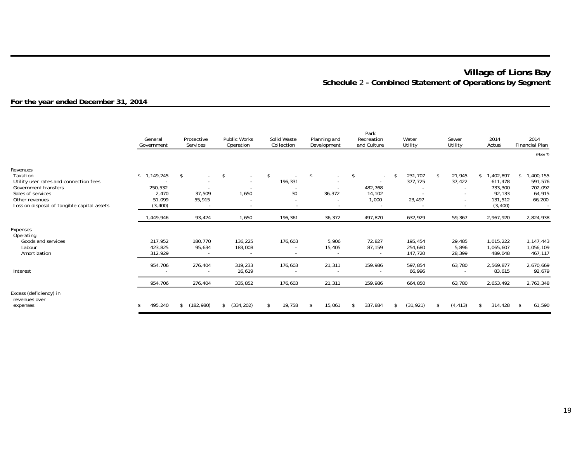## **Village of Lions Bay Schedule** 2 **- Combined Statement of Operations by Segment**

# **For the year ended December 31, 2014**

|                                                                                     | General<br>Government                        | Protective<br>Services                        | <b>Public Works</b><br>Operation                              | Solid Waste<br>Collection                            | Planning and<br>Development | Park<br>Recreation<br>and Culture             | Water<br>Utility                    | Sewer<br>Utility          | 2014<br>Actual                    | 2014<br>Financial Plan            |
|-------------------------------------------------------------------------------------|----------------------------------------------|-----------------------------------------------|---------------------------------------------------------------|------------------------------------------------------|-----------------------------|-----------------------------------------------|-------------------------------------|---------------------------|-----------------------------------|-----------------------------------|
|                                                                                     |                                              |                                               |                                                               |                                                      |                             |                                               |                                     |                           |                                   | (Note 7)                          |
| Revenues<br>Taxation                                                                | \$1,149,245                                  | \$<br>$\sim$                                  | \$<br>$\overline{\phantom{a}}$                                | -\$                                                  | \$<br>$\sim$                | \$<br>$\overline{\phantom{a}}$                | 231,707<br>-\$                      | 21,945<br>\$              | ,402,897<br>$\frac{1}{2}$         | ,400,155<br>\$                    |
| Utility user rates and connection fees<br>Government transfers<br>Sales of services | $\overline{\phantom{a}}$<br>250,532<br>2,470 | $\overline{\phantom{a}}$<br>37,509            | $\overline{\phantom{a}}$<br>$\overline{\phantom{a}}$<br>1,650 | 196,331<br>30                                        | 36,372                      | $\overline{\phantom{a}}$<br>482,768<br>14,102 | 377,725<br>$\overline{\phantom{a}}$ | 37,422                    | 611.478<br>733,300<br>92,133      | 591,576<br>702,092<br>64,915      |
| Other revenues<br>Loss on disposal of tangible capital assets                       | 51,099<br>(3, 400)                           | 55,915<br>$\overline{\phantom{a}}$            | $\overline{\phantom{a}}$                                      | $\overline{\phantom{a}}$<br>$\overline{\phantom{a}}$ | $\overline{\phantom{a}}$    | 1,000<br>$\overline{\phantom{a}}$             | 23,497<br>$\overline{\phantom{a}}$  |                           | 131,512<br>(3, 400)               | 66,200<br>$\sim$                  |
|                                                                                     | 1,449,946                                    | 93,424                                        | 1,650                                                         | 196,361                                              | 36,372                      | 497,870                                       | 632,929                             | 59,367                    | 2,967,920                         | 2,824,938                         |
| Expenses<br>Operating                                                               |                                              |                                               |                                                               |                                                      |                             |                                               |                                     |                           |                                   |                                   |
| Goods and services<br>Labour<br>Amortization                                        | 217,952<br>423,825<br>312,929                | 180,770<br>95,634<br>$\overline{\phantom{a}}$ | 136,225<br>183,008                                            | 176,603<br>$\overline{\phantom{a}}$                  | 5,906<br>15,405             | 72,827<br>87,159                              | 195,454<br>254,680<br>147,720       | 29,485<br>5,896<br>28,399 | 1,015,222<br>1,065,607<br>489,048 | 1,147,443<br>1,056,109<br>467,117 |
| Interest                                                                            | 954,706                                      | 276,404<br>$\overline{\phantom{a}}$           | 319,233<br>16,619                                             | 176,603                                              | 21,311                      | 159,986                                       | 597,854<br>66,996                   | 63,780                    | 2,569,877<br>83,615               | 2,670,669<br>92,679               |
|                                                                                     | 954,706                                      | 276,404                                       | 335,852                                                       | 176,603                                              | 21,311                      | 159,986                                       | 664,850                             | 63,780                    | 2,653,492                         | 2,763,348                         |
| Excess (deficiency) in<br>revenues over<br>expenses                                 | 495,240<br>\$                                | (182, 980)<br>\$                              | (334, 202)<br>\$                                              | 19,758<br>\$                                         | 15,061<br>\$                | 337,884<br>\$                                 | (31, 921)<br>\$                     | (4, 413)<br>\$            | 314,428<br>\$                     | 61,590<br>-\$                     |